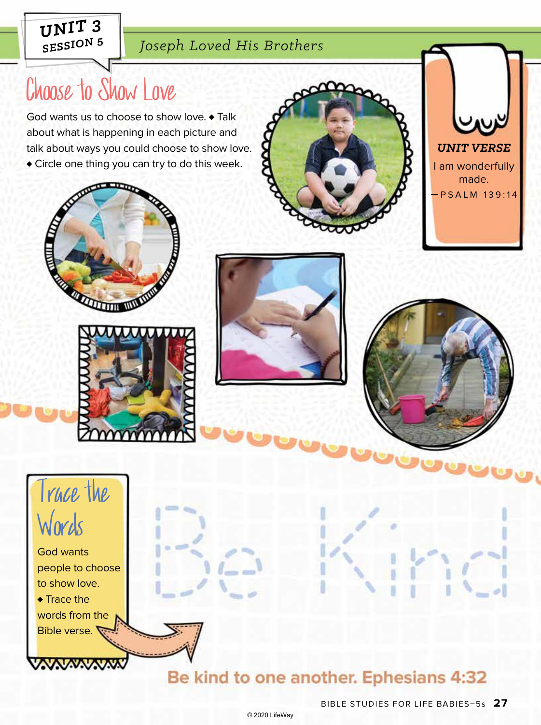### *SESSION 5 Joseph Loved His Brothers*

# Choose to Show Love

God wants us to choose to show love. ♦ Talk about what is happening in each picture and talk about ways you could choose to show love. ♦ Circle one thing you can try to do this week.















people to choose to show love. ♦ Trace the words from the Bible verse.

# Be kind to one another. Ephesians 4:32